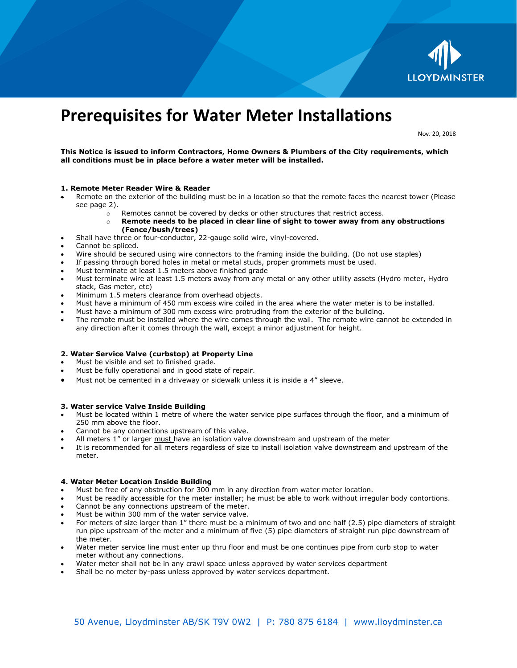

# **Prerequisites for Water Meter Installations**

Nov. 20, 2018

**This Notice is issued to inform Contractors, Home Owners & Plumbers of the City requirements, which all conditions must be in place before a water meter will be installed.**

## **1. Remote Meter Reader Wire & Reader**

- Remote on the exterior of the building must be in a location so that the remote faces the nearest tower (Please see page 2).
	- o Remotes cannot be covered by decks or other structures that restrict access.
	- o **Remote needs to be placed in clear line of sight to tower away from any obstructions (Fence/bush/trees)**
- Shall have three or four-conductor, 22-gauge solid wire, vinyl-covered.
- Cannot be spliced.
- Wire should be secured using wire connectors to the framing inside the building. (Do not use staples)
- If passing through bored holes in metal or metal studs, proper grommets must be used.
- Must terminate at least 1.5 meters above finished grade
- Must terminate wire at least 1.5 meters away from any metal or any other utility assets (Hydro meter, Hydro stack, Gas meter, etc)
- Minimum 1.5 meters clearance from overhead objects.
- Must have a minimum of 450 mm excess wire coiled in the area where the water meter is to be installed.
- Must have a minimum of 300 mm excess wire protruding from the exterior of the building.
- The remote must be installed where the wire comes through the wall. The remote wire cannot be extended in any direction after it comes through the wall, except a minor adjustment for height.

#### **2. Water Service Valve (curbstop) at Property Line**

- Must be visible and set to finished grade.
- Must be fully operational and in good state of repair.
- Must not be cemented in a driveway or sidewalk unless it is inside a 4" sleeve.

#### **3. Water service Valve Inside Building**

- Must be located within 1 metre of where the water service pipe surfaces through the floor, and a minimum of 250 mm above the floor.
- Cannot be any connections upstream of this valve.
- All meters 1" or larger must have an isolation valve downstream and upstream of the meter
- It is recommended for all meters regardless of size to install isolation valve downstream and upstream of the meter.

## **4. Water Meter Location Inside Building**

- Must be free of any obstruction for 300 mm in any direction from water meter location.
- Must be readily accessible for the meter installer; he must be able to work without irregular body contortions.
- Cannot be any connections upstream of the meter.
- Must be within 300 mm of the water service valve.
- For meters of size larger than 1" there must be a minimum of two and one half (2.5) pipe diameters of straight run pipe upstream of the meter and a minimum of five (5) pipe diameters of straight run pipe downstream of the meter.
- Water meter service line must enter up thru floor and must be one continues pipe from curb stop to water meter without any connections.
- Water meter shall not be in any crawl space unless approved by water services department
- Shall be no meter by-pass unless approved by water services department.